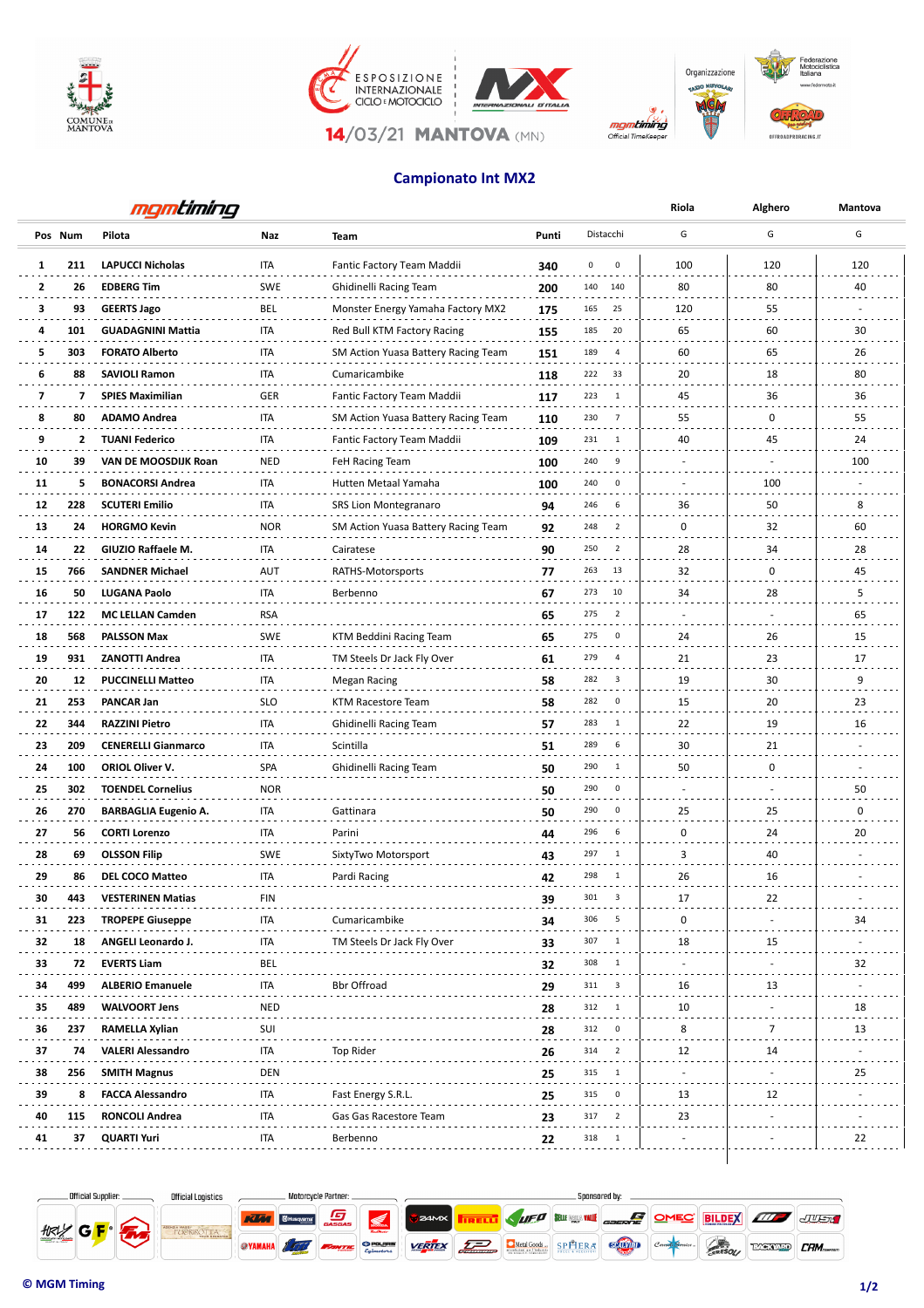

 $L_1$ 









**14/03/21 MANTOVA (MN)** 

## **Campionato Int MX2**

|    | mgmtiming |                             |            |                                     |       |                                 | Riola       | Alghero | Mantova |
|----|-----------|-----------------------------|------------|-------------------------------------|-------|---------------------------------|-------------|---------|---------|
|    | Pos Num   | Pilota                      | Naz        | <b>Team</b>                         | Punti | Distacchi                       | G           | G       | G       |
| 1  | 211       | <b>LAPUCCI Nicholas</b>     | ITA        | Fantic Factory Team Maddii          | 340   | 0<br>0                          | 100         | 120     | 120     |
| 2  | 26        | <b>EDBERG Tim</b>           | <b>SWE</b> | Ghidinelli Racing Team              | 200   | 140 140                         | 80          | 80      | 40      |
| 3  | 93        | <b>GEERTS Jago</b>          | BEL        | Monster Energy Yamaha Factory MX2   | 175   | 165<br>25                       | 120         | 55      |         |
| 4  | 101       | <b>GUADAGNINI Mattia</b>    | <b>ITA</b> | Red Bull KTM Factory Racing         | 155   | 20<br>185                       | 65          | 60      | 30      |
| 5  | 303       | <b>FORATO Alberto</b>       | <b>ITA</b> | SM Action Yuasa Battery Racing Team | 151   | 189<br>$\overline{4}$           | 60          | 65      | 26      |
| 6  | 88        | <b>SAVIOLI Ramon</b>        | <b>ITA</b> | Cumaricambike                       | 118   | 222<br>33                       | 20          | 18      | 80      |
| 7  | 7         | <b>SPIES Maximilian</b>     | <b>GER</b> | Fantic Factory Team Maddii          | 117   | 223<br>$\overline{\phantom{0}}$ | 45          | 36      | 36      |
| 8  | 80        | <b>ADAMO Andrea</b>         | ITA        | SM Action Yuasa Battery Racing Team | 110   | 230<br>$\overline{7}$           | 55          | 0       | 55      |
| 9  | 2         | <b>TUANI Federico</b>       | ITA        | Fantic Factory Team Maddii          | 109   | 231<br>$\overline{1}$           | 40          | 45      | 24      |
| 10 | 39        | VAN DE MOOSDIJK Roan        | <b>NED</b> | FeH Racing Team                     | 100   | 240<br>- 9                      | ٠           | ٠       | 100     |
| 11 | 5         | <b>BONACORSI Andrea</b>     | ITA        | Hutten Metaal Yamaha                | 100   | 240<br>0                        |             | 100     |         |
| 12 | 228       | <b>SCUTERI Emilio</b>       | <b>ITA</b> | <b>SRS Lion Montegranaro</b>        | 94    | 246<br>6                        | 36          | 50      | 8       |
| 13 | 24        | <b>HORGMO Kevin</b>         | <b>NOR</b> | SM Action Yuasa Battery Racing Team | 92    | 248<br>$\overline{\phantom{0}}$ | $\mathbf 0$ | 32      | 60      |
| 14 | 22        | GIUZIO Raffaele M.          | <b>ITA</b> | Cairatese                           | 90    | 250<br>$\overline{2}$           | 28          | 34      | 28      |
| 15 | 766       | <b>SANDNER Michael</b>      | AUT        | RATHS-Motorsports                   | 77    | 263<br>13                       | 32          | 0       | 45      |
| 16 | 50        | <b>LUGANA Paolo</b>         | ITA        | Berbenno                            | 67    | 273<br>10                       | 34          | 28      | 5       |
| 17 | 122       | <b>MC LELLAN Camden</b>     | <b>RSA</b> |                                     | 65    | 275<br>$\overline{2}$           | ÷.          |         | 65      |
| 18 | 568       | <b>PALSSON Max</b>          | <b>SWE</b> | KTM Beddini Racing Team             | 65    | 275<br>0                        | 24          | 26      | 15      |
| 19 | 931       | <b>ZANOTTI Andrea</b>       | ITA        | TM Steels Dr Jack Fly Over          | 61    | 279<br>$\overline{4}$           | 21          | 23      | 17      |
| 20 | 12        | <b>PUCCINELLI Matteo</b>    | ITA        | <b>Megan Racing</b>                 | 58    | 282<br>$\overline{\mathbf{3}}$  | 19          | 30      | 9       |
| 21 | 253       | PANCAR Jan                  | SLO        | KTM Racestore Team                  | 58    | $\overline{\mathbf{0}}$<br>282  | 15          | 20      | 23      |
| 22 | 344       | <b>RAZZINI Pietro</b>       | <b>ITA</b> | Ghidinelli Racing Team              | 57    | 283<br>$\overline{\phantom{0}}$ | 22          | 19      | 16      |
| 23 | 209       | <b>CENERELLI Gianmarco</b>  | ITA        | Scintilla                           | 51    | 289<br>6                        | 30          | 21      |         |
| 24 | 100       | ORIOL Oliver V.             | <b>SPA</b> | Ghidinelli Racing Team              | 50    | 290<br>1                        | 50          | 0       |         |
| 25 | 302       | <b>TOENDEL Cornelius</b>    | <b>NOR</b> |                                     | 50    | 290<br>$\overline{\mathbf{0}}$  | ٠           |         | 50      |
| 26 | 270       | <b>BARBAGLIA Eugenio A.</b> | ITA        | Gattinara                           | 50    | 290<br>0                        | 25          | 25      | 0       |
| 27 | 56        | <b>CORTI Lorenzo</b>        | ITA        | Parini                              | 44    | 6<br>296                        | 0           | 24      | 20      |
| 28 | 69        | <b>OLSSON Filip</b>         | <b>SWE</b> | SixtyTwo Motorsport                 | 43    | 297<br>$\overline{1}$           | 3           | 40      |         |
| 29 | 86        | <b>DEL COCO Matteo</b>      | <b>ITA</b> | Pardi Racing                        | 42    | 298<br>$\mathbf{1}$             | 26          | 16      |         |
| 30 | 443       | <b>VESTERINEN Matias</b>    |            |                                     |       | 301<br>3                        | 17          | 22      |         |
| 31 | 223       | <b>TROPEPE Giuseppe</b>     | FIN<br>ITA | Cumaricambike                       | 39    | 306<br>- 5                      | 0           |         | 34      |
| 32 |           |                             | ITA        |                                     | 34    | 307<br>-1                       | 18          | 15      |         |
|    | 18        | ANGELI Leonardo J.          |            | TM Steels Dr Jack Fly Over          | 33    |                                 |             |         |         |
| 33 | 72        | <b>EVERTS Liam</b>          | BEL        |                                     | 32    | 308<br>$\overline{1}$           |             |         | 32      |
| 34 | 499       | <b>ALBERIO Emanuele</b>     | ITA        | <b>Bbr Offroad</b>                  | 29    | 311<br>$\overline{\phantom{a}}$ | 16          | 13      |         |
| 35 | 489       | <b>WALVOORT Jens</b>        | <b>NED</b> |                                     | 28    | 312<br>$\overline{\phantom{0}}$ | 10          |         | 18      |
| 36 | 237       | RAMELLA Xylian              | SUI        |                                     | 28    | 312<br>$\overline{\mathbf{0}}$  | 8           | 7       | 13      |
| 37 | 74        | <b>VALERI Alessandro</b>    | ITA        | Top Rider                           | 26    | 314<br>$\overline{2}$           | 12          | 14      |         |
| 38 | 256       | <b>SMITH Magnus</b>         | DEN        |                                     | 25    | 315<br>-1                       |             |         | 25      |
| 39 | 8         | <b>FACCA Alessandro</b>     | ita        | Fast Energy S.R.L.                  | 25    | 315<br>0                        | 13          | 12      |         |
| 40 | 115       | <b>RONCOLI Andrea</b>       | ITA        | Gas Gas Racestore Team              | 23    | 317<br>$\overline{\phantom{0}}$ | 23          |         |         |
| 41 | 37        | <b>QUARTI Yuri</b>          | ITA        | Berbenno                            | 22    | 318<br>$\mathbf{1}$             |             |         | 22      |